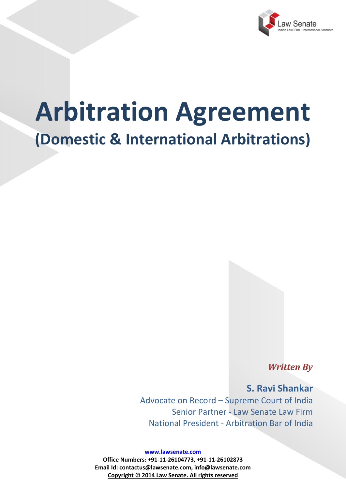

# **Arbitration Agreement (Domestic & International Arbitrations)**

*Written By*

**S. Ravi Shankar** Advocate on Record – Supreme Court of India Senior Partner - Law Senate Law Firm National President - Arbitration Bar of India

**www.lawsenate.com**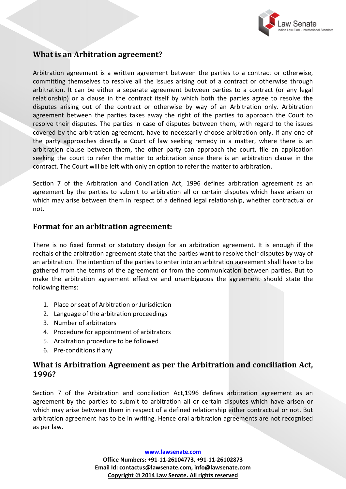

## **What is an Arbitration agreement?**

Arbitration agreement is a written agreement between the parties to a contract or otherwise, committing themselves to resolve all the issues arising out of a contract or otherwise through arbitration. It can be either a separate agreement between parties to a contract (or any legal relationship) or a clause in the contract itself by which both the parties agree to resolve the disputes arising out of the contract or otherwise by way of an Arbitration only. Arbitration agreement between the parties takes away the right of the parties to approach the Court to resolve their disputes. The parties in case of disputes between them, with regard to the issues covered by the arbitration agreement, have to necessarily choose arbitration only. If any one of the party approaches directly a Court of law seeking remedy in a matter, where there is an arbitration clause between them, the other party can approach the court, file an application seeking the court to refer the matter to arbitration since there is an arbitration clause in the contract. The Court will be left with only an option to refer the matter to arbitration.

Section 7 of the Arbitration and Conciliation Act, 1996 defines arbitration agreement as an agreement by the parties to submit to arbitration all or certain disputes which have arisen or which may arise between them in respect of a defined legal relationship, whether contractual or not.

### **Format for an arbitration agreement:**

There is no fixed format or statutory design for an arbitration agreement. It is enough if the recitals of the arbitration agreement state that the parties want to resolve their disputes by way of an arbitration. The intention of the parties to enter into an arbitration agreement shall have to be gathered from the terms of the agreement or from the communication between parties. But to make the arbitration agreement effective and unambiguous the agreement should state the following items:

- 1. Place or seat of Arbitration or Jurisdiction
- 2. Language of the arbitration proceedings
- 3. Number of arbitrators
- 4. Procedure for appointment of arbitrators
- 5. Arbitration procedure to be followed
- 6. Pre-conditions if any

## **What is Arbitration Agreement as per the Arbitration and conciliation Act, 1996?**

Section 7 of the Arbitration and conciliation Act,1996 defines arbitration agreement as an agreement by the parties to submit to arbitration all or certain disputes which have arisen or which may arise between them in respect of a defined relationship either contractual or not. But arbitration agreement has to be in writing. Hence oral arbitration agreements are not recognised as per law.

**www.lawsenate.com**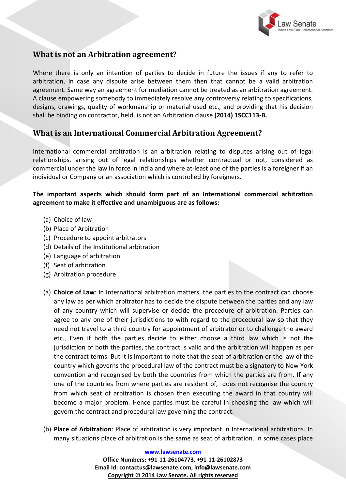

## **What is not an Arbitration agreement?**

Where there is only an intention of parties to decide in future the issues if any to refer to arbitration, in case any dispute arise between them then that cannot be a valid arbitration agreement. Same way an agreement for mediation cannot be treated as an arbitration agreement. A clause empowering somebody to immediately resolve any controversy relating to specifications, designs, drawings, quality of workmanship or material used etc., and providing that his decision shall be binding on contractor, held, is not an Arbitration clause **(2014) 1SCC113-B.**

## **What is an International Commercial Arbitration Agreement?**

International commercial arbitration is an arbitration relating to disputes arising out of legal relationships, arising out of legal relationships whether contractual or not, considered as commercial under the law in force in India and where at-least one of the parties is a foreigner if an individual or Company or an association which is controlled by foreigners.

#### **The important aspects which should form part of an International commercial arbitration agreement to make it effective and unambiguous are as follows:**

- (a) Choice of law
- (b) Place of Arbitration
- (c) Procedure to appoint arbitrators
- (d) Details of the Institutional arbitration
- (e) Language of arbitration
- (f) Seat of arbitration
- (g) Arbitration procedure
- (a) **Choice of Law**: In International arbitration matters, the parties to the contract can choose any law as per which arbitrator has to decide the dispute between the parties and any law of any country which will supervise or decide the procedure of arbitration. Parties can agree to any one of their jurisdictions to with regard to the procedural law so-that they need not travel to a third country for appointment of arbitrator or to challenge the award etc., Even if both the parties decide to either choose a third law which is not the jurisdiction of both the parties, the contract is valid and the arbitration will happen as per the contract terms. But it is important to note that the seat of arbitration or the law of the country which governs the procedural law of the contract must be a signatory to New York convention and recognised by both the countries from which the parties are from. If any one of the countries from where parties are resident of, does not recognise the country from which seat of arbitration is chosen then executing the award in that country will become a major problem. Hence parties must be careful in choosing the law which will govern the contract and procedural law governing the contract.
- (b) **Place of Arbitration**: Place of arbitration is very important in International arbitrations. In many situations place of arbitration is the same as seat of arbitration. In some cases place

**www.lawsenate.com**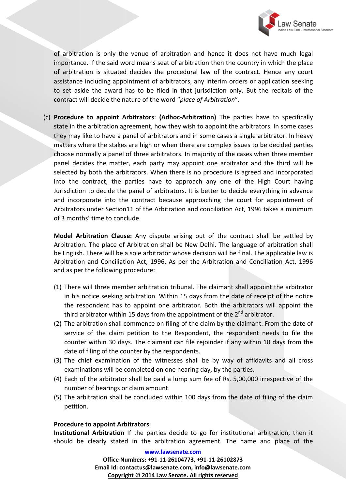

of arbitration is only the venue of arbitration and hence it does not have much legal importance. If the said word means seat of arbitration then the country in which the place of arbitration is situated decides the procedural law of the contract. Hence any court assistance including appointment of arbitrators, any interim orders or application seeking to set aside the award has to be filed in that jurisdiction only. But the recitals of the contract will decide the nature of the word "*place of Arbitration*".

(c) **Procedure to appoint Arbitrators**: **(Adhoc-Arbitration)** The parties have to specifically state in the arbitration agreement, how they wish to appoint the arbitrators. In some cases they may like to have a panel of arbitrators and in some cases a single arbitrator. In heavy matters where the stakes are high or when there are complex issues to be decided parties choose normally a panel of three arbitrators. In majority of the cases when three member panel decides the matter, each party may appoint one arbitrator and the third will be selected by both the arbitrators. When there is no procedure is agreed and incorporated into the contract, the parties have to approach any one of the High Court having Jurisdiction to decide the panel of arbitrators. It is better to decide everything in advance and incorporate into the contract because approaching the court for appointment of Arbitrators under Section11 of the Arbitration and conciliation Act, 1996 takes a minimum of 3 months' time to conclude.

**Model Arbitration Clause:** Any dispute arising out of the contract shall be settled by Arbitration. The place of Arbitration shall be New Delhi. The language of arbitration shall be English. There will be a sole arbitrator whose decision will be final. The applicable law is Arbitration and Conciliation Act, 1996. As per the Arbitration and Conciliation Act, 1996 and as per the following procedure:

- (1) There will three member arbitration tribunal. The claimant shall appoint the arbitrator in his notice seeking arbitration. Within 15 days from the date of receipt of the notice the respondent has to appoint one arbitrator. Both the arbitrators will appoint the third arbitrator within 15 days from the appointment of the  $2^{nd}$  arbitrator.
- (2) The arbitration shall commence on filing of the claim by the claimant. From the date of service of the claim petition to the Respondent, the respondent needs to file the counter within 30 days. The claimant can file rejoinder if any within 10 days from the date of filing of the counter by the respondents.
- (3) The chief examination of the witnesses shall be by way of affidavits and all cross examinations will be completed on one hearing day, by the parties.
- (4) Each of the arbitrator shall be paid a lump sum fee of Rs. 5,00,000 irrespective of the number of hearings or claim amount.
- (5) The arbitration shall be concluded within 100 days from the date of filing of the claim petition.

#### **Procedure to appoint Arbitrators**:

**Institutional Arbitration** If the parties decide to go for institutional arbitration, then it should be clearly stated in the arbitration agreement. The name and place of the

**www.lawsenate.com**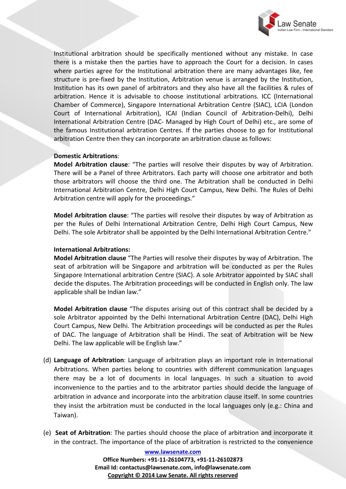

Institutional arbitration should be specifically mentioned without any mistake. In case there is a mistake then the parties have to approach the Court for a decision. In cases where parties agree for the Institutional arbitration there are many advantages like, fee structure is pre-fixed by the Institution, Arbitration venue is arranged by the Institution, Institution has its own panel of arbitrators and they also have all the facilities & rules of arbitration. Hence it is advisable to choose institutional arbitrations. ICC (International Chamber of Commerce), Singapore International Arbitration Centre (SIAC), LCIA (London Court of International Arbitration), ICAI (Indian Council of Arbitration-Delhi), Delhi International Arbitration Centre (DAC- Managed by High Court of Delhi) etc., are some of the famous Institutional arbitration Centres. If the parties choose to go for Institutional arbitration Centre then they can incorporate an arbitration clause as follows:

#### **Domestic Arbitrations**:

**Model Arbitration clause**: "The parties will resolve their disputes by way of Arbitration. There will be a Panel of three Arbitrators. Each party will choose one arbitrator and both those arbitrators will choose the third one. The Arbitration shall be conducted in Delhi International Arbitration Centre, Delhi High Court Campus, New Delhi. The Rules of Delhi Arbitration centre will apply for the proceedings."

**Model Arbitration clause**: "The parties will resolve their disputes by way of Arbitration as per the Rules of Delhi International Arbitration Centre, Delhi High Court Campus, New Delhi. The sole Arbitrator shall be appointed by the Delhi International Arbitration Centre."

#### **International Arbitrations:**

**Model Arbitration clause** "The Parties will resolve their disputes by way of Arbitration. The seat of arbitration will be Singapore and arbitration will be conducted as per the Rules Singapore International arbitration Centre (SIAC). A sole Arbitrator appointed by SIAC shall decide the disputes. The Arbitration proceedings will be conducted in English only. The law applicable shall be Indian law."

**Model Arbitration clause** "The disputes arising out of this contract shall be decided by a sole Arbitrator appointed by the Delhi International Arbitration Centre (DAC), Delhi High Court Campus, New Delhi. The Arbitration proceedings will be conducted as per the Rules of DAC. The language of Arbitration shall be Hindi. The seat of Arbitration will be New Delhi. The law applicable will be English law."

- (d) **Language of Arbitration**: Language of arbitration plays an important role in International Arbitrations. When parties belong to countries with different communication languages there may be a lot of documents in local languages. In such a situation to avoid inconvenience to the parties and to the arbitrator parties should decide the language of arbitration in advance and incorporate into the arbitration clause itself. In some countries they insist the arbitration must be conducted in the local languages only (e.g.: China and Taiwan).
- (e) **Seat of Arbitration**: The parties should choose the place of arbitration and incorporate it in the contract. The importance of the place of arbitration is restricted to the convenience